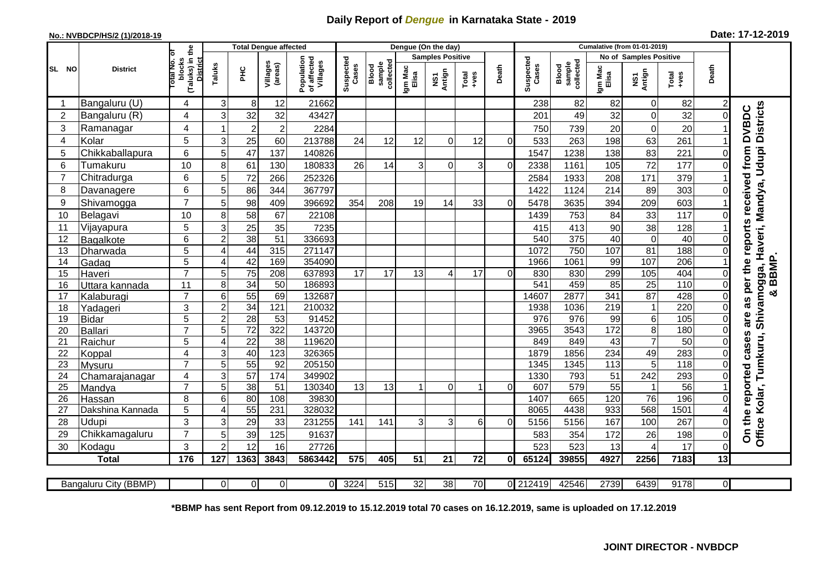## **Daily Report of** *Dengue* **in Karnataka State - 2019**

## **No.: NVBDCP/HS/2 (1)/2018-19**

|  |  | Date: 17-12-2019 |
|--|--|------------------|
|--|--|------------------|

|                | <b>Total Dengue affected</b> |                                                             |                |                       |                     |                                       |                    |                              | Dengue (On the day) |                         |                  |          |                    |                                     |                  |                        |               |                      |                                                |
|----------------|------------------------------|-------------------------------------------------------------|----------------|-----------------------|---------------------|---------------------------------------|--------------------|------------------------------|---------------------|-------------------------|------------------|----------|--------------------|-------------------------------------|------------------|------------------------|---------------|----------------------|------------------------------------------------|
|                | <b>District</b>              |                                                             |                |                       |                     |                                       |                    |                              |                     | <b>Samples Positive</b> |                  |          |                    |                                     |                  | No of Samples Positive |               |                      |                                                |
| SL NO          |                              | (Taluks) in the<br>otal No. of<br>blocks<br><b>District</b> | Taluks         | PНC                   | Villages<br>(areas) | Population<br>of affected<br>Villages | Suspected<br>Cases | collected<br>sample<br>Blood | Igm Mac<br>Elisa    | Antign<br>Σń            | Total<br>$+ve$ s | Death    | Suspected<br>Cases | collected<br><b>Blood</b><br>sample | Igm Mac<br>Elisa | NS1<br>Antign          | Total<br>+ves | Death                |                                                |
| -1             | Bangaluru (U)                | 4                                                           | 3              | 8                     | 12                  | 21662                                 |                    |                              |                     |                         |                  |          | 238                | 82                                  | 82               | $\mathbf 0$            | 82            |                      |                                                |
| $\overline{2}$ | Bangaluru (R)                | $\overline{\mathbf{4}}$                                     | $\overline{3}$ | 32                    | 32                  | 43427                                 |                    |                              |                     |                         |                  |          | 201                | 49                                  | 32               | $\mathbf 0$            | 32            | $\Omega$             |                                                |
| 3              | Ramanagar                    | 4                                                           |                | $\overline{c}$        | $\overline{c}$      | 2284                                  |                    |                              |                     |                         |                  |          | 750                | 739                                 | 20               | 0                      | 20            |                      | averi, Mandya, Udupi Districts<br><b>DVBDC</b> |
| 4              | Kolar                        | 5                                                           | 3              | 25                    | 60                  | 213788                                | 24                 | 12                           | 12                  | $\Omega$                | 12               | $\Omega$ | 533                | 263                                 | 198              | 63                     | 261           |                      |                                                |
| 5              | Chikkaballapura              | 6                                                           | 5 <sup>1</sup> | 47                    | 137                 | 140826                                |                    |                              |                     |                         |                  |          | 1547               | 1238                                | 138              | 83                     | 221           | $\Omega$             | as per the reports received from               |
| 6              | Tumakuru                     | 10                                                          | 8              | 61                    | 130                 | 180833                                | 26                 | 14                           | 3                   | 0                       | 3                | $\Omega$ | 2338               | 1161                                | 105              | 72                     | 177           | $\Omega$             |                                                |
| $\overline{7}$ | Chitradurga                  | 6                                                           | 5              | 72                    | 266                 | 252326                                |                    |                              |                     |                         |                  |          | 2584               | 1933                                | 208              | 171                    | 379           |                      |                                                |
| 8              | Davanagere                   | 6                                                           | 5              | 86                    | 344                 | 367797                                |                    |                              |                     |                         |                  |          | 1422               | 1124                                | 214              | 89                     | 303           | $\Omega$             |                                                |
| 9              | Shivamogga                   | $\overline{7}$                                              | 5              | 98                    | 409                 | 396692                                | 354                | 208                          | 19                  | 14                      | 33               | $\Omega$ | 5478               | 3635                                | 394              | 209                    | 603           |                      |                                                |
| 10             | Belagavi                     | 10                                                          | 8              | 58                    | 67                  | 22108                                 |                    |                              |                     |                         |                  |          | 1439               | 753                                 | 84               | 33                     | 117           | $\Omega$             |                                                |
| 11             | Vijayapura                   | 5                                                           | 3              | 25                    | 35                  | 7235                                  |                    |                              |                     |                         |                  |          | 415                | 413                                 | 90               | 38                     | 128           |                      |                                                |
| 12             | Bagalkote                    | 6                                                           | $\overline{2}$ | 38                    | $\overline{51}$     | 336693                                |                    |                              |                     |                         |                  |          | 540                | 375                                 | 40               | $\overline{0}$         | 40            | $\Omega$             |                                                |
| 13             | Dharwada                     | 5                                                           | ⊿              | 44                    | 315                 | 271147                                |                    |                              |                     |                         |                  |          | 1072               | 750                                 | 107              | 81                     | 188           | $\Omega$             |                                                |
| 14             | Gadag                        | $\overline{5}$                                              | 4              | 42                    | 169                 | 354090                                |                    |                              |                     |                         |                  |          | 1966               | 1061                                | 99               | 107                    | 206           |                      | I<br>BBMP.                                     |
| 15             | Haveri                       | $\overline{7}$                                              | 5 <sub>l</sub> | 75                    | 208                 | 637893                                | 17                 | 17                           | 13                  | 4                       | 17               | $\Omega$ | 830                | 830                                 | 299              | 105                    | 404           | $\Omega$             | Shivamogga,                                    |
| 16             | Uttara kannada               | 11                                                          | 8              | $\overline{34}$       | 50                  | 186893                                |                    |                              |                     |                         |                  |          | $\overline{541}$   | 459                                 | 85               | $\overline{25}$        | 110           | $\Omega$             |                                                |
| 17             | Kalaburagi                   | $\overline{7}$                                              | 6              | 55                    | 69                  | 132687                                |                    |                              |                     |                         |                  |          | 14607              | 2877                                | 341              | $\overline{87}$        | 428           | $\Omega$             | ×                                              |
| 18             | Yadageri                     | 3                                                           | $\overline{2}$ | 34                    | 121                 | 210032                                |                    |                              |                     |                         |                  |          | 1938               | 1036                                | 219              | $\mathbf{1}$           | 220           | $\Omega$             |                                                |
| 19             | <b>Bidar</b>                 | 5                                                           | $\overline{2}$ | $\overline{28}$       | $\overline{53}$     | 91452                                 |                    |                              |                     |                         |                  |          | 976                | 976                                 | 99               | $\,6$                  | 105           | $\Omega$             | are                                            |
| 20             | <b>Ballari</b>               | $\overline{7}$                                              | 5              | $\overline{72}$       | 322                 | 143720                                |                    |                              |                     |                         |                  |          | 3965               | 3543                                | 172              | 8                      | 180           | $\Omega$             |                                                |
| 21             | Raichur                      | 5                                                           | 4              | $\overline{22}$       | 38                  | 119620                                |                    |                              |                     |                         |                  |          | 849                | 849                                 | 43               | 7                      | 50            | $\Omega$             | Tumkuru,                                       |
| 22             | Koppal                       | $\overline{4}$                                              | 3              | 40                    | 123                 | 326365                                |                    |                              |                     |                         |                  |          | 1879               | 1856                                | 234              | 49                     | 283           | $\Omega$             |                                                |
| 23             | Mysuru                       | $\overline{7}$                                              | 5 <sup>1</sup> | 55                    | $\overline{92}$     | 205150                                |                    |                              |                     |                         |                  |          | 1345               | 1345                                | 113              | $\overline{5}$         | 118           | $\overline{0}$       |                                                |
| 24             | Chamarajanagar               | 4                                                           | 3 <sup>1</sup> | 57                    | 174                 | 349902                                |                    |                              |                     |                         |                  |          | 1330               | 793                                 | $\overline{51}$  | 242                    | 293           | $\mathbf 0$          |                                                |
| 25             | Mandya                       | $\overline{7}$                                              | 5 <sup>1</sup> | $\overline{38}$       | 51                  | 130340                                | 13                 | $\overline{13}$              | 1                   | $\Omega$                |                  | $\Omega$ | 607                | 579                                 | 55               |                        | 56            |                      | Kolar,                                         |
| 26             | Hassan                       | 8                                                           | 6<br>4         | 80<br>$\overline{55}$ | 108<br>231          | 39830<br>328032                       |                    |                              |                     |                         |                  |          | 1407<br>8065       | 665<br>4438                         | 120<br>933       | 76<br>568              | 196<br>1501   | $\Omega$             |                                                |
| 27<br>28       | Dakshina Kannada             | 5<br>3                                                      |                |                       |                     |                                       |                    |                              |                     |                         |                  |          |                    |                                     |                  |                        |               |                      |                                                |
| 29             | Udupi<br>Chikkamagaluru      | $\overline{7}$                                              | 3<br>5         | 29<br>39              | 33<br>125           | 231255<br>91637                       | 141                | 141                          | 3                   | 3                       | 6                | $\Omega$ | 5156<br>583        | 5156<br>354                         | 167<br>172       | 100<br>26              | 267<br>198    | $\Omega$<br>$\Omega$ | On the reported cases<br>Office                |
| 30             | Kodagu                       | 3                                                           | $\overline{2}$ | 12                    | 16                  | 27726                                 |                    |                              |                     |                         |                  |          | 523                | 523                                 | 13               | 4                      | 17            | $\Omega$             |                                                |
|                | <b>Total</b>                 | 176                                                         | 127            | 1363                  | 3843                | 5863442                               | 575                | 405                          | 51                  | 21                      | 72               | 0I       | 65124              | 39855                               | 4927             | 2256                   | 7183          | 13                   |                                                |
|                |                              |                                                             |                |                       |                     |                                       |                    |                              |                     |                         |                  |          |                    |                                     |                  |                        |               |                      |                                                |
|                | Bangaluru City (BBMP)        |                                                             | $\Omega$       | $\Omega$              | $\Omega$            | $\Omega$                              | 3224               | 515                          | $\overline{32}$     | $\overline{38}$         | $\overline{70}$  |          | 0 212419           | 42546                               | 2739             | 6439                   | 9178          | $\overline{0}$       |                                                |

**\*BBMP has sent Report from 09.12.2019 to 15.12.2019 total 70 cases on 16.12.2019, same is uploaded on 17.12.2019**